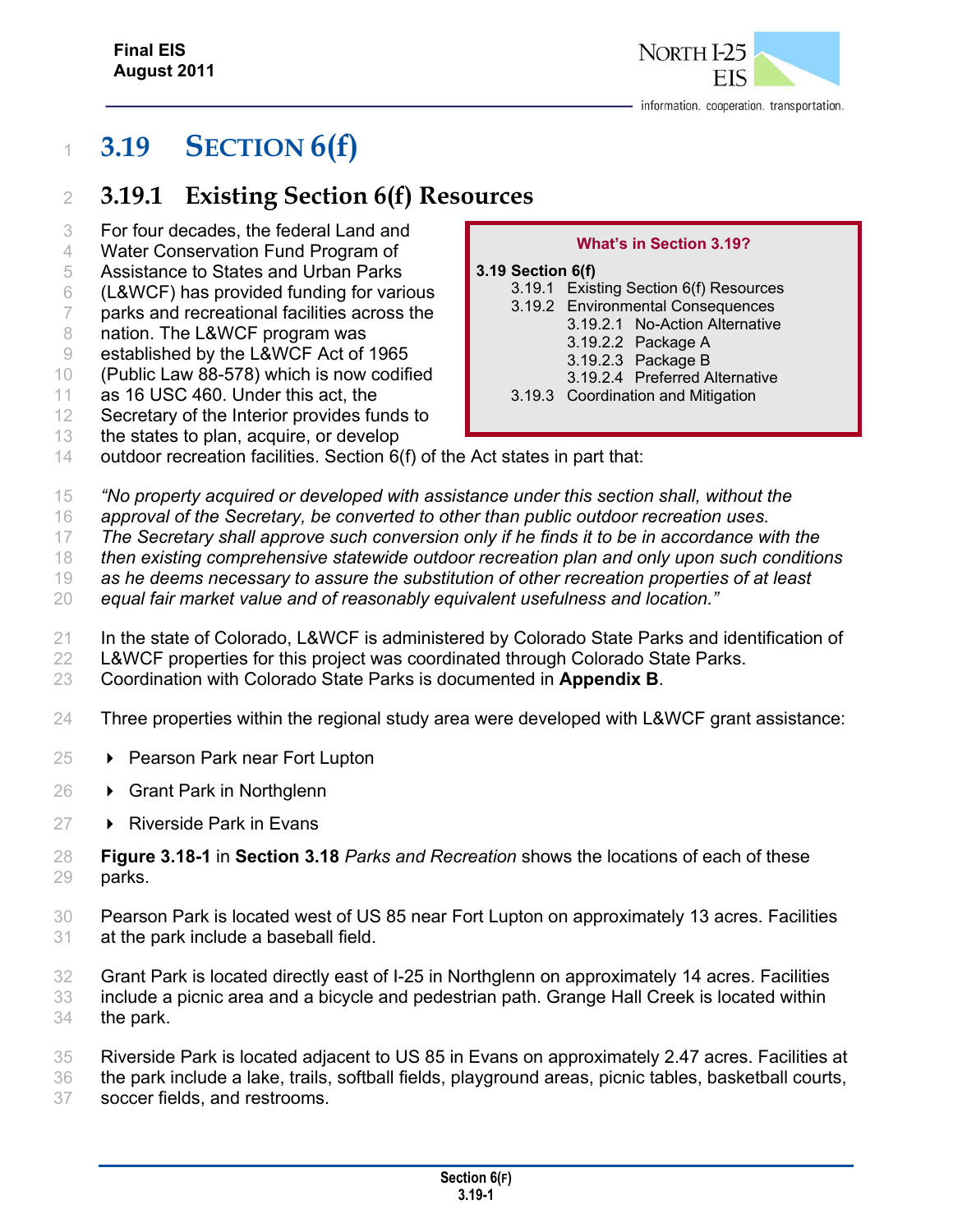

# **3.19 SECTION 6(f)**

# **3.19.1 Existing Section 6(f) Resources**

- For four decades, the federal Land and
- Water Conservation Fund Program of
- Assistance to States and Urban Parks
- (L&WCF) has provided funding for various
- parks and recreational facilities across the
- 8 nation. The L&WCF program was
- established by the L&WCF Act of 1965
- (Public Law 88-578) which is now codified
- as 16 USC 460. Under this act, the
- Secretary of the Interior provides funds to
- the states to plan, acquire, or develop

#### **What's in Section 3.19?**

#### **3.19 Section 6(f)**

- 3.19.1 Existing Section 6(f) Resources 3.19.2 Environmental Consequences 3.19.2.1 No-Action Alternative 3.19.2.2 Package A 3.19.2.3 Package B 3.19.2.4 Preferred Alternative 3.19.3 Coordination and Mitigation
- outdoor recreation facilities. Section 6(f) of the Act states in part that:
- *"No property acquired or developed with assistance under this section shall, without the*
- *approval of the Secretary, be converted to other than public outdoor recreation uses.*
- *The Secretary shall approve such conversion only if he finds it to be in accordance with the*
- *then existing comprehensive statewide outdoor recreation plan and only upon such conditions*
- *as he deems necessary to assure the substitution of other recreation properties of at least*
- *equal fair market value and of reasonably equivalent usefulness and location."*
- In the state of Colorado, L&WCF is administered by Colorado State Parks and identification of
- L&WCF properties for this project was coordinated through Colorado State Parks.
- Coordination with Colorado State Parks is documented in **Appendix B**.
- Three properties within the regional study area were developed with L&WCF grant assistance:
- **▶ Pearson Park near Fort Lupton**
- **→ Grant Park in Northglenn**
- **▶ Riverside Park in Evans**
- **Figure 3.18-1** in **Section 3.18** *Parks and Recreation* shows the locations of each of these parks.
- Pearson Park is located west of US 85 near Fort Lupton on approximately 13 acres. Facilities at the park include a baseball field.
- Grant Park is located directly east of I-25 in Northglenn on approximately 14 acres. Facilities include a picnic area and a bicycle and pedestrian path. Grange Hall Creek is located within
- the park.
- Riverside Park is located adjacent to US 85 in Evans on approximately 2.47 acres. Facilities at
- the park include a lake, trails, softball fields, playground areas, picnic tables, basketball courts,
- soccer fields, and restrooms.